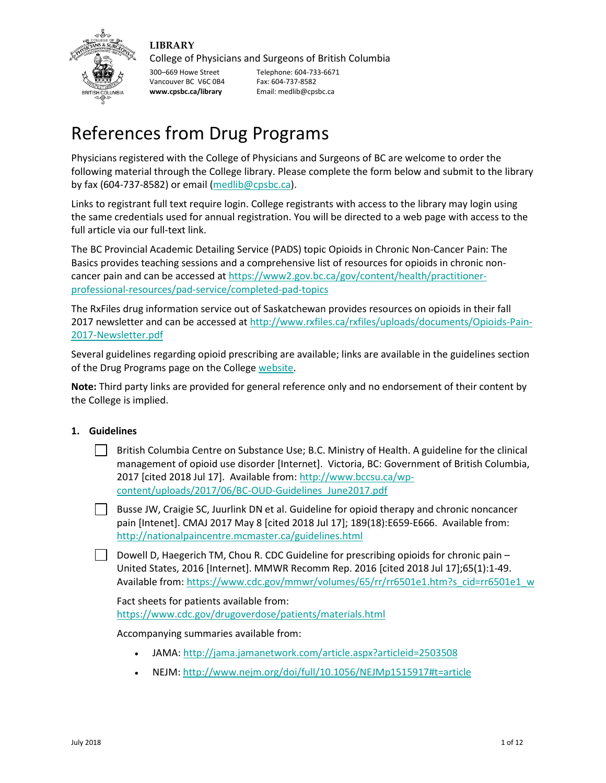

# **LIBRARY**

College of Physicians and Surgeons of British Columbia

300–669 Howe Street Telephone: 604-733-6671<br>Vancouver BC V6C 0B4 Fax: 604-737-8582 Vancouver BC V6C 0B4 **www.cpsbc.ca/library** Email: medlib@cpsbc.ca

# References from Drug Programs

Physicians registered with the College of Physicians and Surgeons of BC are welcome to order the following material through the College library. Please complete the form below and submit to the library by fax (604-737-8582) or email [\(medlib@cpsbc.ca\)](mailto:medlib@cpsbc.ca).

Links to registrant full text require login. College registrants with access to the library may login using the same credentials used for annual registration. You will be directed to a web page with access to the full article via our full-text link.

The BC Provincial Academic Detailing Service (PADS) topic Opioids in Chronic Non-Cancer Pain: The Basics provides teaching sessions and a comprehensive list of resources for opioids in chronic noncancer pain and can be accessed at https://www2.gov.bc.ca/gov/content/health/practitionerprofessional-resources/pad-service/completed-pad-topics

The RxFiles drug information service out of Saskatchewan provides resources on opioids in their fall 2017 newsletter and can be accessed a[t http://www.rxfiles.ca/rxfiles/uploads/documents/Opioids-Pain-](http://www.rxfiles.ca/rxfiles/uploads/documents/Opioids-Pain-2017-Newsletter.pdf)[2017-Newsletter.pdf](http://www.rxfiles.ca/rxfiles/uploads/documents/Opioids-Pain-2017-Newsletter.pdf)

Several guidelines regarding opioid prescribing are available; links are available in the guidelines section of the Drug Programs page on the College [website.](https://www.cpsbc.ca/programs/drug-programs/prp)

**Note:** Third party links are provided for general reference only and no endorsement of their content by the College is implied.

# **1. Guidelines**

British Columbia Centre on Substance Use; B.C. Ministry of Health. A guideline for the clinical management of opioid use disorder [Internet]. Victoria, BC: Government of British Columbia, 2017 [cited 2018 Jul 17]. Available from: [http://www.bccsu.ca/wp](http://www.bccsu.ca/wp-content/uploads/2017/06/BC-OUD-Guidelines_June2017.pdf)[content/uploads/2017/06/BC-OUD-Guidelines\\_June2017.pdf](http://www.bccsu.ca/wp-content/uploads/2017/06/BC-OUD-Guidelines_June2017.pdf)

Busse JW, Craigie SC, Juurlink DN et al. Guideline for opioid therapy and chronic noncancer pain [Intenet]. CMAJ 2017 May 8 [cited 2018 Jul 17]; 189(18):E659-E666. Available from: <http://nationalpaincentre.mcmaster.ca/guidelines.html>

Dowell D, Haegerich TM, Chou R. CDC Guideline for prescribing opioids for chronic pain – United States, 2016 [Internet]. MMWR Recomm Rep. 2016 [cited 2018 Jul 17];65(1):1-49. Available from[: https://www.cdc.gov/mmwr/volumes/65/rr/rr6501e1.htm?s\\_cid=rr6501e1\\_w](https://www.cdc.gov/mmwr/volumes/65/rr/rr6501e1.htm?s_cid=rr6501e1_w)

Fact sheets for patients available from: <https://www.cdc.gov/drugoverdose/patients/materials.html>

# Accompanying summaries available from:

- JAMA:<http://jama.jamanetwork.com/article.aspx?articleid=2503508>
- NEJM: [http://www.nejm.org/doi/full/10.1056/NEJMp1515917#t=article](http://www.nejm.org/doi/full/10.1056/NEJMp1515917#t%3Darticle)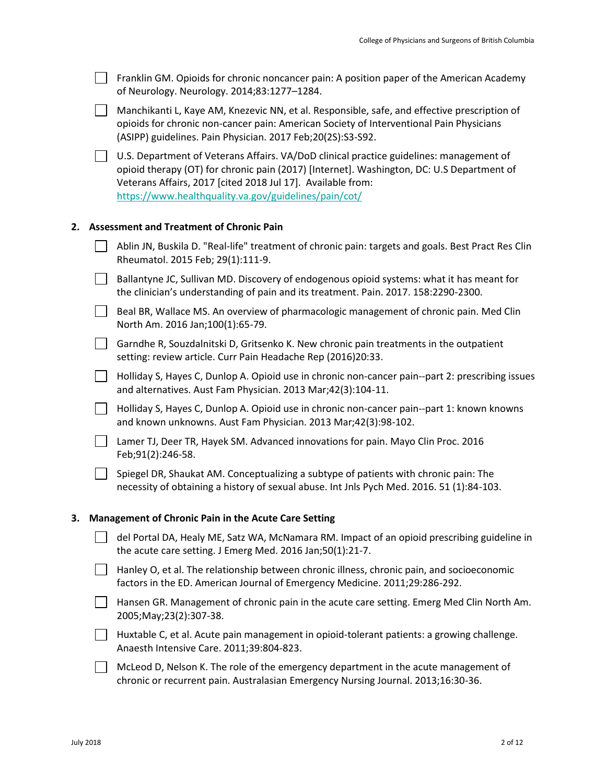| Franklin GM. Opioids for chronic noncancer pain: A position paper of the American Academy |
|-------------------------------------------------------------------------------------------|
| of Neurology. Neurology. 2014;83:1277-1284.                                               |

Manchikanti L, Kaye AM, Knezevic NN, et al. Responsible, safe, and effective prescription of opioids for chronic non-cancer pain: American Society of Interventional Pain Physicians (ASIPP) guidelines. Pain Physician. 2017 Feb;20(2S):S3-S92.

 $\Box$  U.S. Department of Veterans Affairs. VA/DoD clinical practice guidelines: management of opioid therapy (OT) for chronic pain (2017) [Internet]. Washington, DC: U.S Department of Veterans Affairs, 2017 [cited 2018 Jul 17]. Available from: <https://www.healthquality.va.gov/guidelines/pain/cot/>

### **2. Assessment and Treatment of Chronic Pain**

| Ablin JN, Buskila D. "Real-life" treatment of chronic pain: targets and goals. Best Pract Res Clin |
|----------------------------------------------------------------------------------------------------|
| Rheumatol. 2015 Feb; 29(1):111-9.                                                                  |

- Ballantyne JC, Sullivan MD. Discovery of endogenous opioid systems: what it has meant for the clinician's understanding of pain and its treatment. Pain. 2017. 158:2290-2300.
- Beal BR, Wallace MS. An overview of pharmacologic management of chronic pain. Med Clin North Am. 2016 Jan;100(1):65-79.
- Garndhe R, Souzdalnitski D, Gritsenko K. New chronic pain treatments in the outpatient setting: review article. Curr Pain Headache Rep (2016)20:33.
- Holliday S, Hayes C, Dunlop A. Opioid use in chronic non-cancer pain--part 2: prescribing issues and alternatives. Aust Fam Physician. 2013 Mar;42(3):104-11.
- Holliday S, Hayes C, Dunlop A. Opioid use in chronic non-cancer pain--part 1: known knowns and known unknowns. Aust Fam Physician. 2013 Mar;42(3):98-102.
- Lamer TJ, Deer TR, Hayek SM. Advanced innovations for pain. Mayo Clin Proc. 2016 Feb;91(2):246-58.
- $\vert \ \vert$  Spiegel DR, Shaukat AM. Conceptualizing a subtype of patients with chronic pain: The necessity of obtaining a history of sexual abuse. Int Jnls Pych Med. 2016. 51 (1):84-103.

#### **3. Management of Chronic Pain in the Acute Care Setting**

- del Portal DA, Healy ME, Satz WA, McNamara RM. Impact of an opioid prescribing guideline in the acute care setting. J Emerg Med. 2016 Jan;50(1):21-7.
- $\Box$  Hanley O, et al. The relationship between chronic illness, chronic pain, and socioeconomic factors in the ED. American Journal of Emergency Medicine. 2011;29:286-292.
- Hansen GR. Management of chronic pain in the acute care setting. Emerg Med Clin North Am. 2005;May;23(2):307-38.
- Huxtable C, et al. Acute pain management in opioid-tolerant patients: a growing challenge. Anaesth Intensive Care. 2011;39:804-823.
- $\Box$  McLeod D, Nelson K. The role of the emergency department in the acute management of chronic or recurrent pain. Australasian Emergency Nursing Journal. 2013;16:30-36.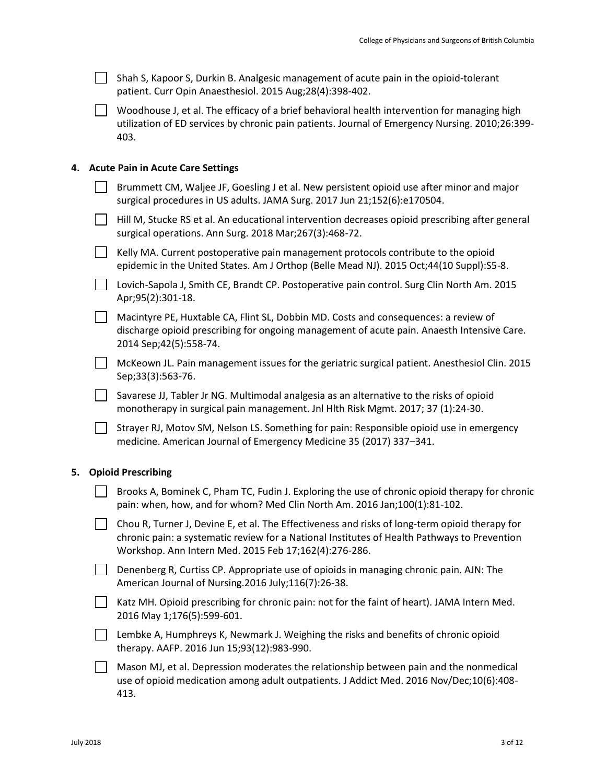| Shah S, Kapoor S, Durkin B. Analgesic management of acute pain in the opioid-tolerant |
|---------------------------------------------------------------------------------------|
| patient. Curr Opin Anaesthesiol. 2015 Aug;28(4):398-402.                              |

Woodhouse J, et al. The efficacy of a brief behavioral health intervention for managing high utilization of ED services by chronic pain patients. Journal of Emergency Nursing. 2010;26:399- 403.

## **4. Acute Pain in Acute Care Settings**

| Brummett CM, Waljee JF, Goesling J et al. New persistent opioid use after minor and major<br>surgical procedures in US adults. JAMA Surg. 2017 Jun 21;152(6):e170504.         |
|-------------------------------------------------------------------------------------------------------------------------------------------------------------------------------|
| Hill M, Stucke RS et al. An educational intervention decreases opioid prescribing after general<br>surgical operations. Ann Surg. 2018 Mar; 267(3): 468-72.                   |
| Kelly MA. Current postoperative pain management protocols contribute to the opioid<br>epidemic in the United States. Am J Orthop (Belle Mead NJ). 2015 Oct;44(10 Suppl):S5-8. |
| Lovich-Sapola J, Smith CE, Brandt CP. Postoperative pain control. Surg Clin North Am. 2015<br>Apr;95(2):301-18.                                                               |
| Mogistics DE Hurtoble CA Flint CL Debbin MD, Cests and consequences a roview of                                                                                               |

Macintyre PE, Huxtable CA, Flint SL, Dobbin MD. Costs and consequences: a review of discharge opioid prescribing for ongoing management of acute pain. Anaesth Intensive Care. 2014 Sep;42(5):558-74.

McKeown JL. Pain management issues for the geriatric surgical patient. Anesthesiol Clin. 2015 Sep;33(3):563-76.

 $\Box$  Savarese JJ, Tabler Jr NG. Multimodal analgesia as an alternative to the risks of opioid monotherapy in surgical pain management. Jnl Hlth Risk Mgmt. 2017; 37 (1):24-30.

Strayer RJ, Motov SM, Nelson LS. Something for pain: Responsible opioid use in emergency medicine. American Journal of Emergency Medicine 35 (2017) 337–341.

# **5. Opioid Prescribing**

- $\vert \ \vert$  Brooks A, Bominek C, Pham TC, Fudin J. Exploring the use of chronic opioid therapy for chronic pain: when, how, and for whom? Med Clin North Am. 2016 Jan;100(1):81-102.
- $\Box$  Chou R, Turner J, Devine E, et al. The Effectiveness and risks of long-term opioid therapy for chronic pain: a systematic review for a National Institutes of Health Pathways to Prevention Workshop. Ann Intern Med. 2015 Feb 17;162(4):276-286.
- Denenberg R, Curtiss CP. Appropriate use of opioids in managing chronic pain. AJN: The American Journal of Nursing.2016 July;116(7):26-38.
- Katz MH. Opioid prescribing for chronic pain: not for the faint of heart). JAMA Intern Med. 2016 May 1;176(5):599-601.
- **Lembke A, Humphreys K, Newmark J. Weighing the risks and benefits of chronic opioid** therapy. AAFP. 2016 Jun 15;93(12):983-990.
- Mason MJ, et al. Depression moderates the relationship between pain and the nonmedical use of opioid medication among adult outpatients. J Addict Med. 2016 Nov/Dec;10(6):408- 413.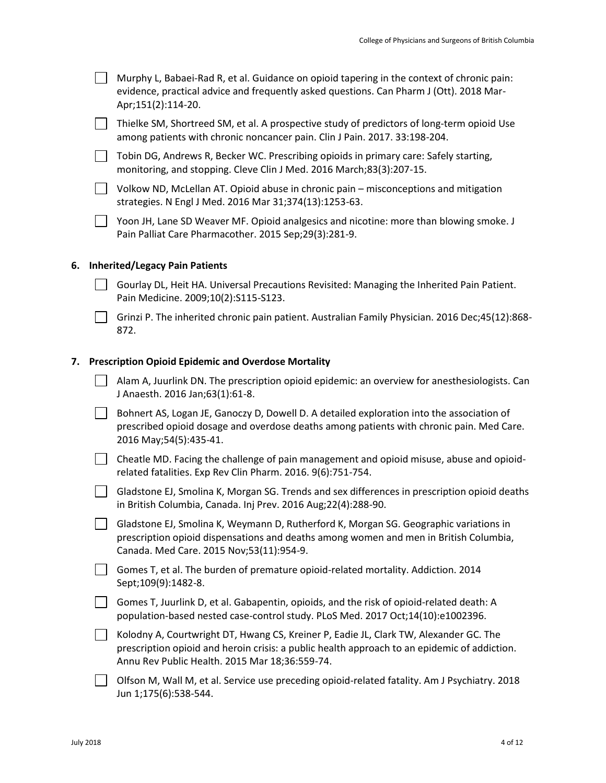|    | Murphy L, Babaei-Rad R, et al. Guidance on opioid tapering in the context of chronic pain:<br>evidence, practical advice and frequently asked questions. Can Pharm J (Ott). 2018 Mar-<br>Apr;151(2):114-20.                             |
|----|-----------------------------------------------------------------------------------------------------------------------------------------------------------------------------------------------------------------------------------------|
|    | Thielke SM, Shortreed SM, et al. A prospective study of predictors of long-term opioid Use<br>among patients with chronic noncancer pain. Clin J Pain. 2017. 33:198-204.                                                                |
|    | Tobin DG, Andrews R, Becker WC. Prescribing opioids in primary care: Safely starting,<br>monitoring, and stopping. Cleve Clin J Med. 2016 March;83(3):207-15.                                                                           |
|    | Volkow ND, McLellan AT. Opioid abuse in chronic pain - misconceptions and mitigation<br>strategies. N Engl J Med. 2016 Mar 31;374(13):1253-63.                                                                                          |
|    | Yoon JH, Lane SD Weaver MF. Opioid analgesics and nicotine: more than blowing smoke. J<br>Pain Palliat Care Pharmacother. 2015 Sep;29(3):281-9.                                                                                         |
| 6. | <b>Inherited/Legacy Pain Patients</b>                                                                                                                                                                                                   |
|    | Gourlay DL, Heit HA. Universal Precautions Revisited: Managing the Inherited Pain Patient.<br>Pain Medicine. 2009;10(2):S115-S123.                                                                                                      |
|    | Grinzi P. The inherited chronic pain patient. Australian Family Physician. 2016 Dec;45(12):868-<br>872.                                                                                                                                 |
| 7. | <b>Prescription Opioid Epidemic and Overdose Mortality</b>                                                                                                                                                                              |
|    | Alam A, Juurlink DN. The prescription opioid epidemic: an overview for anesthesiologists. Can<br>J Anaesth. 2016 Jan;63(1):61-8.                                                                                                        |
|    | Bohnert AS, Logan JE, Ganoczy D, Dowell D. A detailed exploration into the association of<br>prescribed opioid dosage and overdose deaths among patients with chronic pain. Med Care.<br>2016 May; 54(5): 435-41.                       |
|    | Cheatle MD. Facing the challenge of pain management and opioid misuse, abuse and opioid-<br>related fatalities. Exp Rev Clin Pharm. 2016. 9(6):751-754.                                                                                 |
|    | Gladstone EJ, Smolina K, Morgan SG. Trends and sex differences in prescription opioid deaths<br>in British Columbia, Canada. Inj Prev. 2016 Aug;22(4):288-90.                                                                           |
|    | Gladstone EJ, Smolina K, Weymann D, Rutherford K, Morgan SG. Geographic variations in<br>prescription opioid dispensations and deaths among women and men in British Columbia,<br>Canada. Med Care. 2015 Nov;53(11):954-9.              |
|    | Gomes T, et al. The burden of premature opioid-related mortality. Addiction. 2014<br>Sept;109(9):1482-8.                                                                                                                                |
|    | Gomes T, Juurlink D, et al. Gabapentin, opioids, and the risk of opioid-related death: A<br>population-based nested case-control study. PLoS Med. 2017 Oct;14(10):e1002396.                                                             |
|    | Kolodny A, Courtwright DT, Hwang CS, Kreiner P, Eadie JL, Clark TW, Alexander GC. The<br>prescription opioid and heroin crisis: a public health approach to an epidemic of addiction.<br>Annu Rev Public Health. 2015 Mar 18;36:559-74. |

Olfson M, Wall M, et al. Service use preceding opioid-related fatality. Am J Psychiatry. 2018 Jun 1;175(6):538-544.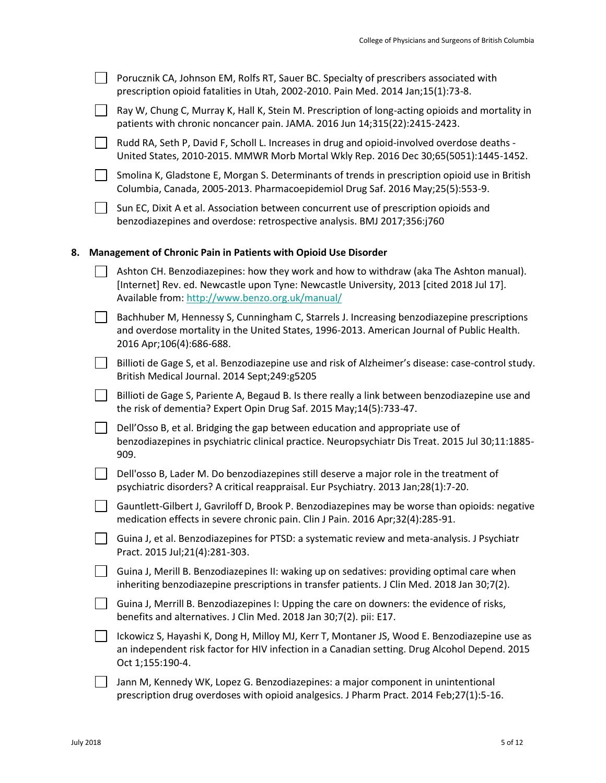|    | Porucznik CA, Johnson EM, Rolfs RT, Sauer BC. Specialty of prescribers associated with<br>prescription opioid fatalities in Utah, 2002-2010. Pain Med. 2014 Jan;15(1):73-8.                                                           |
|----|---------------------------------------------------------------------------------------------------------------------------------------------------------------------------------------------------------------------------------------|
|    | Ray W, Chung C, Murray K, Hall K, Stein M. Prescription of long-acting opioids and mortality in<br>patients with chronic noncancer pain. JAMA. 2016 Jun 14;315(22):2415-2423.                                                         |
|    | Rudd RA, Seth P, David F, Scholl L. Increases in drug and opioid-involved overdose deaths -<br>United States, 2010-2015. MMWR Morb Mortal Wkly Rep. 2016 Dec 30;65(5051):1445-1452.                                                   |
|    | Smolina K, Gladstone E, Morgan S. Determinants of trends in prescription opioid use in British<br>Columbia, Canada, 2005-2013. Pharmacoepidemiol Drug Saf. 2016 May;25(5):553-9.                                                      |
|    | Sun EC, Dixit A et al. Association between concurrent use of prescription opioids and<br>benzodiazepines and overdose: retrospective analysis. BMJ 2017;356:j760                                                                      |
| 8. | Management of Chronic Pain in Patients with Opioid Use Disorder                                                                                                                                                                       |
|    | Ashton CH. Benzodiazepines: how they work and how to withdraw (aka The Ashton manual).<br>[Internet] Rev. ed. Newcastle upon Tyne: Newcastle University, 2013 [cited 2018 Jul 17].<br>Available from: http://www.benzo.org.uk/manual/ |
|    | Bachhuber M, Hennessy S, Cunningham C, Starrels J. Increasing benzodiazepine prescriptions<br>and overdose mortality in the United States, 1996-2013. American Journal of Public Health.<br>2016 Apr;106(4):686-688.                  |
|    | Billioti de Gage S, et al. Benzodiazepine use and risk of Alzheimer's disease: case-control study.<br>British Medical Journal. 2014 Sept;249:g5205                                                                                    |
|    | Billioti de Gage S, Pariente A, Begaud B. Is there really a link between benzodiazepine use and<br>the risk of dementia? Expert Opin Drug Saf. 2015 May;14(5):733-47.                                                                 |
|    | Dell'Osso B, et al. Bridging the gap between education and appropriate use of<br>benzodiazepines in psychiatric clinical practice. Neuropsychiatr Dis Treat. 2015 Jul 30;11:1885-<br>909.                                             |
|    | Dell'osso B, Lader M. Do benzodiazepines still deserve a major role in the treatment of<br>psychiatric disorders? A critical reappraisal. Eur Psychiatry. 2013 Jan;28(1):7-20.                                                        |
|    | Gauntlett-Gilbert J, Gavriloff D, Brook P. Benzodiazepines may be worse than opioids: negative<br>medication effects in severe chronic pain. Clin J Pain. 2016 Apr;32(4):285-91.                                                      |
|    | Guina J, et al. Benzodiazepines for PTSD: a systematic review and meta-analysis. J Psychiatr<br>Pract. 2015 Jul;21(4):281-303.                                                                                                        |
|    | Guina J, Merill B. Benzodiazepines II: waking up on sedatives: providing optimal care when<br>inheriting benzodiazepine prescriptions in transfer patients. J Clin Med. 2018 Jan 30;7(2).                                             |
|    | Guina J, Merrill B. Benzodiazepines I: Upping the care on downers: the evidence of risks,<br>benefits and alternatives. J Clin Med. 2018 Jan 30;7(2). pii: E17.                                                                       |
|    | Ickowicz S, Hayashi K, Dong H, Milloy MJ, Kerr T, Montaner JS, Wood E. Benzodiazepine use as<br>an independent risk factor for HIV infection in a Canadian setting. Drug Alcohol Depend. 2015<br>Oct 1;155:190-4.                     |
|    | Jann M, Kennedy WK, Lopez G. Benzodiazepines: a major component in unintentional<br>prescription drug overdoses with opioid analgesics. J Pharm Pract. 2014 Feb;27(1):5-16.                                                           |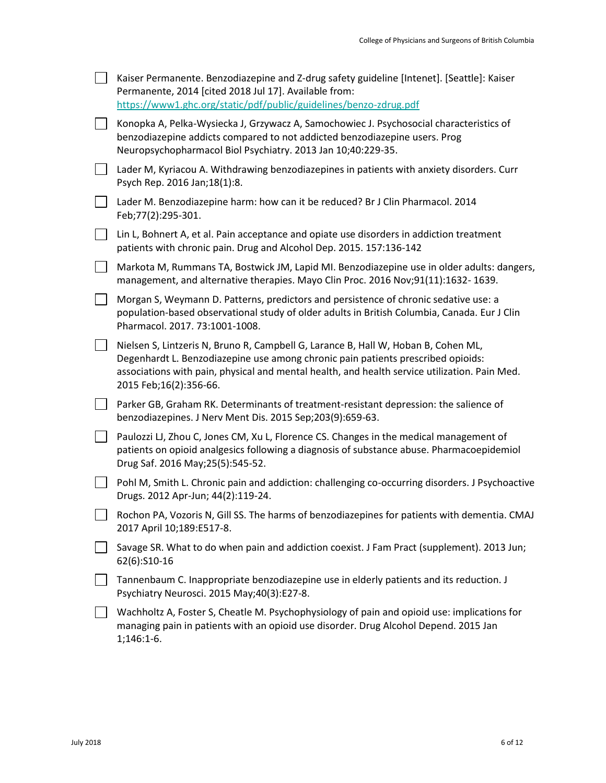|        | Kaiser Permanente. Benzodiazepine and Z-drug safety guideline [Intenet]. [Seattle]: Kaiser<br>Permanente, 2014 [cited 2018 Jul 17]. Available from:<br>https://www1.ghc.org/static/pdf/public/guidelines/benzo-zdrug.pdf                                                                          |
|--------|---------------------------------------------------------------------------------------------------------------------------------------------------------------------------------------------------------------------------------------------------------------------------------------------------|
| $\Box$ | Konopka A, Pelka-Wysiecka J, Grzywacz A, Samochowiec J. Psychosocial characteristics of<br>benzodiazepine addicts compared to not addicted benzodiazepine users. Prog<br>Neuropsychopharmacol Biol Psychiatry. 2013 Jan 10;40:229-35.                                                             |
| LТ     | Lader M, Kyriacou A. Withdrawing benzodiazepines in patients with anxiety disorders. Curr<br>Psych Rep. 2016 Jan;18(1):8.                                                                                                                                                                         |
| $\Box$ | Lader M. Benzodiazepine harm: how can it be reduced? Br J Clin Pharmacol. 2014<br>Feb;77(2):295-301.                                                                                                                                                                                              |
| $\Box$ | Lin L, Bohnert A, et al. Pain acceptance and opiate use disorders in addiction treatment<br>patients with chronic pain. Drug and Alcohol Dep. 2015. 157:136-142                                                                                                                                   |
|        | Markota M, Rummans TA, Bostwick JM, Lapid MI. Benzodiazepine use in older adults: dangers,<br>management, and alternative therapies. Mayo Clin Proc. 2016 Nov;91(11):1632-1639.                                                                                                                   |
| LΙ     | Morgan S, Weymann D. Patterns, predictors and persistence of chronic sedative use: a<br>population-based observational study of older adults in British Columbia, Canada. Eur J Clin<br>Pharmacol. 2017. 73:1001-1008.                                                                            |
|        | Nielsen S, Lintzeris N, Bruno R, Campbell G, Larance B, Hall W, Hoban B, Cohen ML,<br>Degenhardt L. Benzodiazepine use among chronic pain patients prescribed opioids:<br>associations with pain, physical and mental health, and health service utilization. Pain Med.<br>2015 Feb;16(2):356-66. |
|        | Parker GB, Graham RK. Determinants of treatment-resistant depression: the salience of<br>benzodiazepines. J Nerv Ment Dis. 2015 Sep;203(9):659-63.                                                                                                                                                |
| LΙ     | Paulozzi LJ, Zhou C, Jones CM, Xu L, Florence CS. Changes in the medical management of<br>patients on opioid analgesics following a diagnosis of substance abuse. Pharmacoepidemiol<br>Drug Saf. 2016 May; 25(5): 545-52.                                                                         |
|        | Pohl M, Smith L. Chronic pain and addiction: challenging co-occurring disorders. J Psychoactive<br>Drugs. 2012 Apr-Jun; 44(2):119-24.                                                                                                                                                             |
| $\Box$ | Rochon PA, Vozoris N, Gill SS. The harms of benzodiazepines for patients with dementia. CMAJ<br>2017 April 10;189:E517-8.                                                                                                                                                                         |
|        | Savage SR. What to do when pain and addiction coexist. J Fam Pract (supplement). 2013 Jun;<br>62(6):S10-16                                                                                                                                                                                        |
|        | Tannenbaum C. Inappropriate benzodiazepine use in elderly patients and its reduction. J<br>Psychiatry Neurosci. 2015 May;40(3):E27-8.                                                                                                                                                             |
|        | Wachholtz A, Foster S, Cheatle M. Psychophysiology of pain and opioid use: implications for<br>managing pain in patients with an opioid use disorder. Drug Alcohol Depend. 2015 Jan<br>$1;146:1-6.$                                                                                               |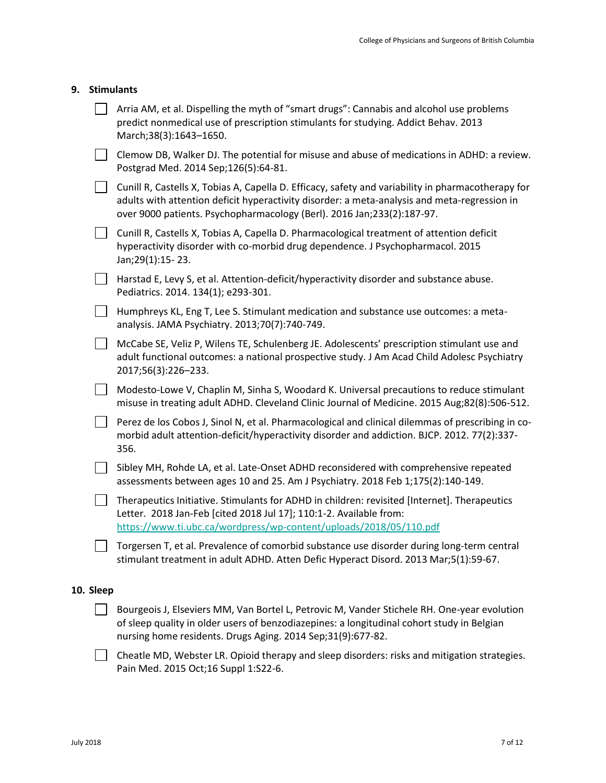| 9. | <b>Stimulants</b> |  |
|----|-------------------|--|
|----|-------------------|--|

|           | Arria AM, et al. Dispelling the myth of "smart drugs": Cannabis and alcohol use problems<br>predict nonmedical use of prescription stimulants for studying. Addict Behav. 2013<br>March;38(3):1643-1650.                                                                     |
|-----------|------------------------------------------------------------------------------------------------------------------------------------------------------------------------------------------------------------------------------------------------------------------------------|
|           | Clemow DB, Walker DJ. The potential for misuse and abuse of medications in ADHD: a review.<br>Postgrad Med. 2014 Sep;126(5):64-81.                                                                                                                                           |
|           | Cunill R, Castells X, Tobias A, Capella D. Efficacy, safety and variability in pharmacotherapy for<br>adults with attention deficit hyperactivity disorder: a meta-analysis and meta-regression in<br>over 9000 patients. Psychopharmacology (Berl). 2016 Jan;233(2):187-97. |
|           | Cunill R, Castells X, Tobias A, Capella D. Pharmacological treatment of attention deficit<br>hyperactivity disorder with co-morbid drug dependence. J Psychopharmacol. 2015<br>Jan; 29(1): 15 - 23.                                                                          |
|           | Harstad E, Levy S, et al. Attention-deficit/hyperactivity disorder and substance abuse.<br>Pediatrics. 2014. 134(1); e293-301.                                                                                                                                               |
|           | Humphreys KL, Eng T, Lee S. Stimulant medication and substance use outcomes: a meta-<br>analysis. JAMA Psychiatry. 2013;70(7):740-749.                                                                                                                                       |
|           | McCabe SE, Veliz P, Wilens TE, Schulenberg JE. Adolescents' prescription stimulant use and<br>adult functional outcomes: a national prospective study. J Am Acad Child Adolesc Psychiatry<br>2017;56(3):226-233.                                                             |
|           | Modesto-Lowe V, Chaplin M, Sinha S, Woodard K. Universal precautions to reduce stimulant<br>misuse in treating adult ADHD. Cleveland Clinic Journal of Medicine. 2015 Aug;82(8):506-512.                                                                                     |
|           | Perez de los Cobos J, Sinol N, et al. Pharmacological and clinical dilemmas of prescribing in co-<br>morbid adult attention-deficit/hyperactivity disorder and addiction. BJCP. 2012. 77(2):337-<br>356.                                                                     |
|           | Sibley MH, Rohde LA, et al. Late-Onset ADHD reconsidered with comprehensive repeated<br>assessments between ages 10 and 25. Am J Psychiatry. 2018 Feb 1;175(2):140-149.                                                                                                      |
|           | Therapeutics Initiative. Stimulants for ADHD in children: revisited [Internet]. Therapeutics<br>Letter. 2018 Jan-Feb [cited 2018 Jul 17]; 110:1-2. Available from:<br>https://www.ti.ubc.ca/wordpress/wp-content/uploads/2018/05/110.pdf                                     |
|           | Torgersen T, et al. Prevalence of comorbid substance use disorder during long-term central<br>stimulant treatment in adult ADHD. Atten Defic Hyperact Disord. 2013 Mar;5(1):59-67.                                                                                           |
| 10. Sleep |                                                                                                                                                                                                                                                                              |
|           | Bourgeois J, Elseviers MM, Van Bortel L, Petrovic M, Vander Stichele RH. One-year evolution<br>of sleep quality in older users of benzodiazepines: a longitudinal cohort study in Belgian                                                                                    |

Cheatle MD, Webster LR. Opioid therapy and sleep disorders: risks and mitigation strategies. Pain Med. 2015 Oct;16 Suppl 1:S22-6.

nursing home residents. Drugs Aging. 2014 Sep;31(9):677-82.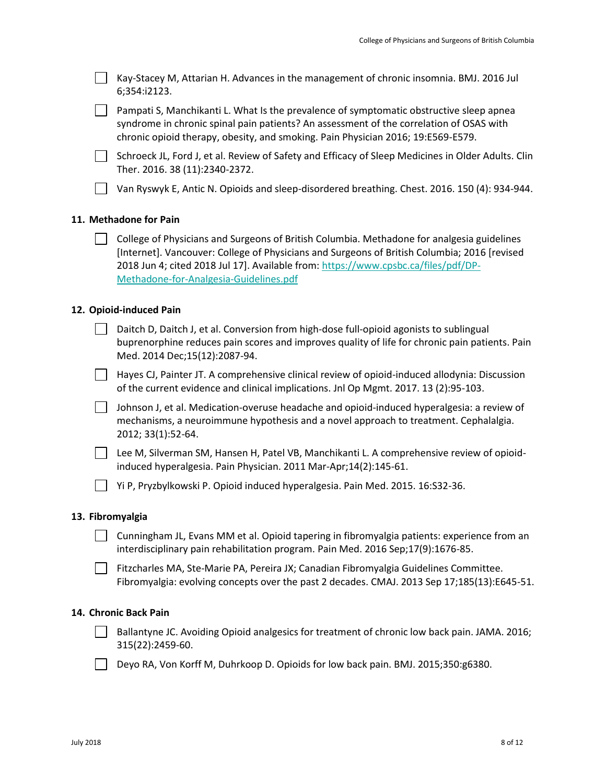| Kay-Stacey M, Attarian H. Advances in the management of chronic insomnia. BMJ. 2016 Jul |  |
|-----------------------------------------------------------------------------------------|--|
| 6;354:i2123.                                                                            |  |

Pampati S, Manchikanti L. What Is the prevalence of symptomatic obstructive sleep apnea syndrome in chronic spinal pain patients? An assessment of the correlation of OSAS with chronic opioid therapy, obesity, and smoking. Pain Physician 2016; 19:E569-E579.

□ Schroeck JL, Ford J, et al. Review of Safety and Efficacy of Sleep Medicines in Older Adults. Clin Ther. 2016. 38 (11):2340-2372.

Van Ryswyk E, Antic N. Opioids and sleep-disordered breathing. Chest. 2016. 150 (4): 934-944.

## **11. Methadone for Pain**

College of Physicians and Surgeons of British Columbia. Methadone for analgesia guidelines [Internet]. Vancouver: College of Physicians and Surgeons of British Columbia; 2016 [revised 2018 Jun 4; cited 2018 Jul 17]. Available from: [https://www.cpsbc.ca/files/pdf/DP-](https://www.cpsbc.ca/files/pdf/DP-Methadone-for-Analgesia-Guidelines.pdf)[Methadone-for-Analgesia-Guidelines.pdf](https://www.cpsbc.ca/files/pdf/DP-Methadone-for-Analgesia-Guidelines.pdf)

## **12. Opioid-induced Pain**

Daitch D, Daitch J, et al. Conversion from high-dose full-opioid agonists to sublingual buprenorphine reduces pain scores and improves quality of life for chronic pain patients. Pain Med. 2014 Dec;15(12):2087-94.

 $\Box$  Hayes CJ, Painter JT. A comprehensive clinical review of opioid-induced allodynia: Discussion of the current evidence and clinical implications. Jnl Op Mgmt. 2017. 13 (2):95-103.

Johnson J, et al. Medication-overuse headache and opioid-induced hyperalgesia: a review of mechanisms, a neuroimmune hypothesis and a novel approach to treatment. Cephalalgia. 2012; 33(1):52-64.

Lee M, Silverman SM, Hansen H, Patel VB, Manchikanti L. A comprehensive review of opioidinduced hyperalgesia. Pain Physician. 2011 Mar-Apr;14(2):145-61.

Yi P, Pryzbylkowski P. Opioid induced hyperalgesia. Pain Med. 2015. 16:S32-36.

#### **13. Fibromyalgia**

- Cunningham JL, Evans MM et al. Opioid tapering in fibromyalgia patients: experience from an interdisciplinary pain rehabilitation program. Pain Med. 2016 Sep;17(9):1676-85.
- Fitzcharles MA, Ste-Marie PA, Pereira JX; Canadian Fibromyalgia Guidelines Committee. Fibromyalgia: evolving concepts over the past 2 decades. CMAJ. 2013 Sep 17;185(13):E645-51.

## **14. Chronic Back Pain**

Ballantyne JC. Avoiding Opioid analgesics for treatment of chronic low back pain. JAMA. 2016; 315(22):2459-60.

Deyo RA, Von Korff M, Duhrkoop D. Opioids for low back pain. BMJ. 2015;350:g6380.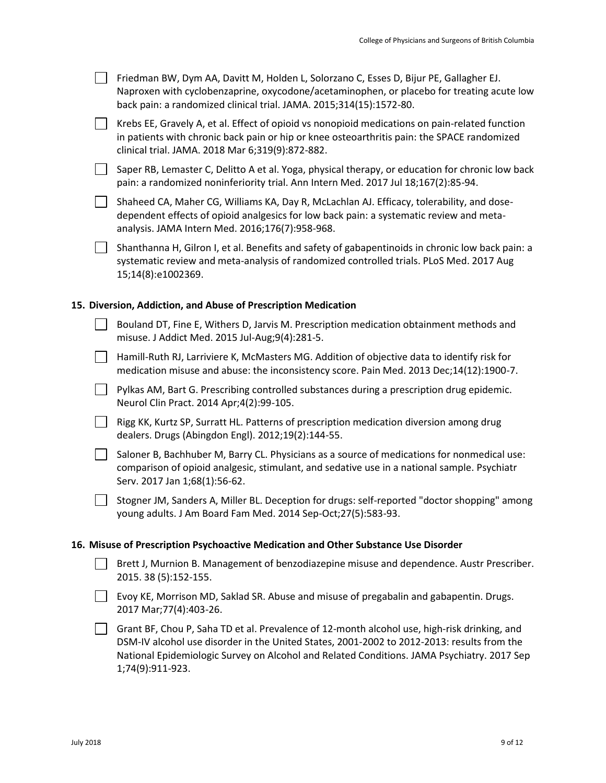|  | Friedman BW, Dym AA, Davitt M, Holden L, Solorzano C, Esses D, Bijur PE, Gallagher EJ.<br>Naproxen with cyclobenzaprine, oxycodone/acetaminophen, or placebo for treating acute low<br>back pain: a randomized clinical trial. JAMA. 2015;314(15):1572-80. |
|--|------------------------------------------------------------------------------------------------------------------------------------------------------------------------------------------------------------------------------------------------------------|
|  | Krebs EE, Gravely A, et al. Effect of opioid vs nonopioid medications on pain-related function<br>in patients with chronic back pain or hip or knee osteoarthritis pain: the SPACE randomized<br>clinical trial. JAMA. 2018 Mar 6;319(9):872-882.          |
|  | Saper RB, Lemaster C, Delitto A et al. Yoga, physical therapy, or education for chronic low back<br>pain: a randomized noninferiority trial. Ann Intern Med. 2017 Jul 18;167(2):85-94.                                                                     |
|  | Shaheed CA, Maher CG, Williams KA, Day R, McLachlan AJ. Efficacy, tolerability, and dose-<br>dependent effects of opioid analgesics for low back pain: a systematic review and meta-<br>analysis. JAMA Intern Med. 2016;176(7):958-968.                    |
|  | Shanthanna H, Gilron I, et al. Benefits and safety of gabapentinoids in chronic low back pain: a<br>systematic review and meta-analysis of randomized controlled trials. PLoS Med. 2017 Aug<br>15;14(8):e1002369.                                          |
|  | 15. Diversion, Addiction, and Abuse of Prescription Medication                                                                                                                                                                                             |
|  | Bouland DT, Fine E, Withers D, Jarvis M. Prescription medication obtainment methods and<br>misuse. J Addict Med. 2015 Jul-Aug;9(4):281-5.                                                                                                                  |
|  | Hamill-Ruth RJ, Larriviere K, McMasters MG. Addition of objective data to identify risk for<br>medication misuse and abuse: the inconsistency score. Pain Med. 2013 Dec;14(12):1900-7.                                                                     |
|  | Pylkas AM, Bart G. Prescribing controlled substances during a prescription drug epidemic.<br>Neurol Clin Pract. 2014 Apr;4(2):99-105.                                                                                                                      |
|  | Rigg KK, Kurtz SP, Surratt HL. Patterns of prescription medication diversion among drug<br>dealers. Drugs (Abingdon Engl). 2012;19(2):144-55.                                                                                                              |
|  | Saloner B, Bachhuber M, Barry CL. Physicians as a source of medications for nonmedical use:<br>comparison of opioid analgesic, stimulant, and sedative use in a national sample. Psychiatr<br>Serv. 2017 Jan 1;68(1):56-62.                                |
|  | Stogner JM, Sanders A, Miller BL. Deception for drugs: self-reported "doctor shopping" among<br>young adults. J Am Board Fam Med. 2014 Sep-Oct;27(5):583-93.                                                                                               |
|  | 16. Misuse of Prescription Psychoactive Medication and Other Substance Use Disorder                                                                                                                                                                        |
|  | Brett J, Murnion B. Management of benzodiazepine misuse and dependence. Austr Prescriber.<br>2015. 38 (5):152-155.                                                                                                                                         |
|  | Evoy KE, Morrison MD, Saklad SR. Abuse and misuse of pregabalin and gabapentin. Drugs.<br>2017 Mar; 77(4): 403-26.                                                                                                                                         |
|  | Grant BF, Chou P, Saha TD et al. Prevalence of 12-month alcohol use, high-risk drinking, and<br>DSM-IV alcohol use disorder in the United States, 2001-2002 to 2012-2013: results from the                                                                 |

National Epidemiologic Survey on Alcohol and Related Conditions. JAMA Psychiatry. 2017 Sep 1;74(9):911-923.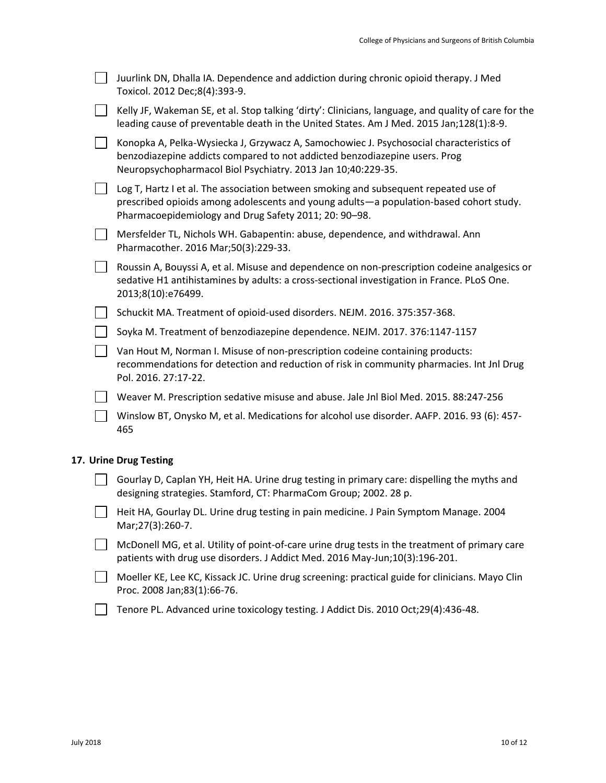| Juurlink DN, Dhalla IA. Dependence and addiction during chronic opioid therapy. J Med<br>Toxicol. 2012 Dec;8(4):393-9.                                                                                                                  |
|-----------------------------------------------------------------------------------------------------------------------------------------------------------------------------------------------------------------------------------------|
| Kelly JF, Wakeman SE, et al. Stop talking 'dirty': Clinicians, language, and quality of care for the<br>leading cause of preventable death in the United States. Am J Med. 2015 Jan;128(1):8-9.                                         |
| Konopka A, Pelka-Wysiecka J, Grzywacz A, Samochowiec J. Psychosocial characteristics of<br>benzodiazepine addicts compared to not addicted benzodiazepine users. Prog<br>Neuropsychopharmacol Biol Psychiatry. 2013 Jan 10;40:229-35.   |
| Log T, Hartz I et al. The association between smoking and subsequent repeated use of<br>prescribed opioids among adolescents and young adults-a population-based cohort study.<br>Pharmacoepidemiology and Drug Safety 2011; 20: 90-98. |
| Mersfelder TL, Nichols WH. Gabapentin: abuse, dependence, and withdrawal. Ann<br>Pharmacother. 2016 Mar;50(3):229-33.                                                                                                                   |
| Roussin A, Bouyssi A, et al. Misuse and dependence on non-prescription codeine analgesics or<br>sedative H1 antihistamines by adults: a cross-sectional investigation in France. PLoS One.<br>2013;8(10):e76499.                        |
| Schuckit MA. Treatment of opioid-used disorders. NEJM. 2016. 375:357-368.                                                                                                                                                               |
| Soyka M. Treatment of benzodiazepine dependence. NEJM. 2017. 376:1147-1157                                                                                                                                                              |
| Van Hout M, Norman I. Misuse of non-prescription codeine containing products:<br>recommendations for detection and reduction of risk in community pharmacies. Int Jnl Drug<br>Pol. 2016. 27:17-22.                                      |
| Weaver M. Prescription sedative misuse and abuse. Jale Jnl Biol Med. 2015. 88:247-256                                                                                                                                                   |
| Winslow BT, Onysko M, et al. Medications for alcohol use disorder. AAFP. 2016. 93 (6): 457-<br>465                                                                                                                                      |
| <b>Urine Drug Testing</b>                                                                                                                                                                                                               |
| Gourlay D, Caplan YH, Heit HA. Urine drug testing in primary care: dispelling the myths and<br>designing strategies. Stamford, CT: PharmaCom Group; 2002. 28 p.                                                                         |

- Heit HA, Gourlay DL. Urine drug testing in pain medicine. J Pain Symptom Manage. 2004 Mar;27(3):260-7.
- $\Box$  McDonell MG, et al. Utility of point-of-care urine drug tests in the treatment of primary care patients with drug use disorders. J Addict Med. 2016 May-Jun;10(3):196-201.
- Moeller KE, Lee KC, Kissack JC. Urine drug screening: practical guide for clinicians. Mayo Clin Proc. 2008 Jan;83(1):66-76.
- Tenore PL. Advanced urine toxicology testing. J Addict Dis. 2010 Oct;29(4):436-48.

**17.**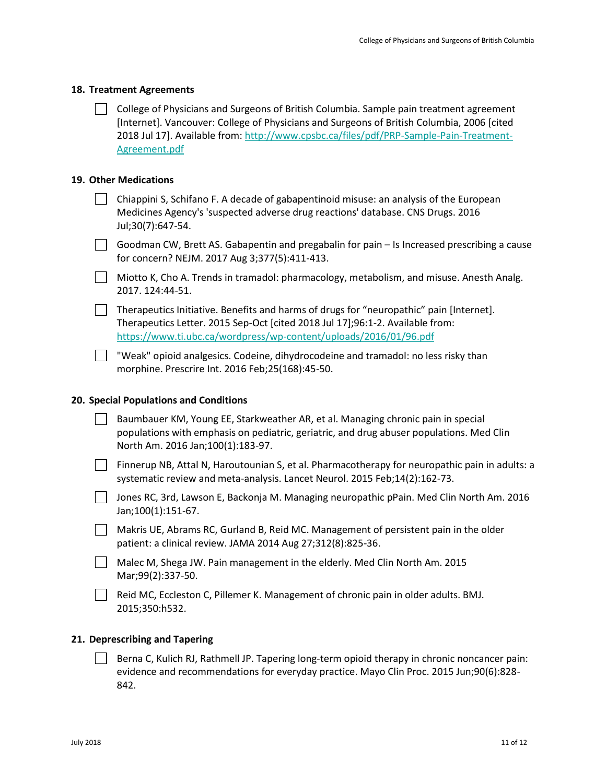#### **18. Treatment Agreements**

| College of Physicians and Surgeons of British Columbia. Sample pain treatment agreement     |
|---------------------------------------------------------------------------------------------|
| [Internet]. Vancouver: College of Physicians and Surgeons of British Columbia, 2006 [cited] |
| 2018 Jul 17]. Available from: http://www.cpsbc.ca/files/pdf/PRP-Sample-Pain-Treatment-      |
| Agreement.pdf                                                                               |

## **19. Other Medications**

| $\vert$ Chiappini S, Schifano F. A decade of gabapentinoid misuse: an analysis of the European |
|------------------------------------------------------------------------------------------------|
| Medicines Agency's 'suspected adverse drug reactions' database. CNS Drugs. 2016                |
| Jul:30(7):647-54.                                                                              |

- Goodman CW, Brett AS. Gabapentin and pregabalin for pain Is Increased prescribing a cause for concern? NEJM. 2017 Aug 3;377(5):411-413.
- Miotto K, Cho A. Trends in tramadol: pharmacology, metabolism, and misuse. Anesth Analg. 2017. 124:44-51.

Therapeutics Initiative. Benefits and harms of drugs for "neuropathic" pain [Internet]. Therapeutics Letter. 2015 Sep-Oct [cited 2018 Jul 17];96:1-2. Available from: <https://www.ti.ubc.ca/wordpress/wp-content/uploads/2016/01/96.pdf>

 $\Box$  "Weak" opioid analgesics. Codeine, dihydrocodeine and tramadol: no less risky than morphine. Prescrire Int. 2016 Feb;25(168):45-50.

### **20. Special Populations and Conditions**

| Baumbauer KM, Young EE, Starkweather AR, et al. Managing chronic pain in special         |
|------------------------------------------------------------------------------------------|
| populations with emphasis on pediatric, geriatric, and drug abuser populations. Med Clin |
| North Am. 2016 Jan;100(1):183-97.                                                        |

Finnerup NB, Attal N, Haroutounian S, et al. Pharmacotherapy for neuropathic pain in adults: a systematic review and meta-analysis. Lancet Neurol. 2015 Feb;14(2):162-73.

Jones RC, 3rd, Lawson E, Backonja M. Managing neuropathic pPain. Med Clin North Am. 2016 Jan;100(1):151-67.

Makris UE, Abrams RC, Gurland B, Reid MC. Management of persistent pain in the older patient: a clinical review. JAMA 2014 Aug 27;312(8):825-36.

Malec M, Shega JW. Pain management in the elderly. Med Clin North Am. 2015 Mar;99(2):337-50.

Reid MC, Eccleston C, Pillemer K. Management of chronic pain in older adults. BMJ. 2015;350:h532.

#### **21. Deprescribing and Tapering**

Berna C, Kulich RJ, Rathmell JP. Tapering long-term opioid therapy in chronic noncancer pain: evidence and recommendations for everyday practice. Mayo Clin Proc. 2015 Jun;90(6):828- 842.